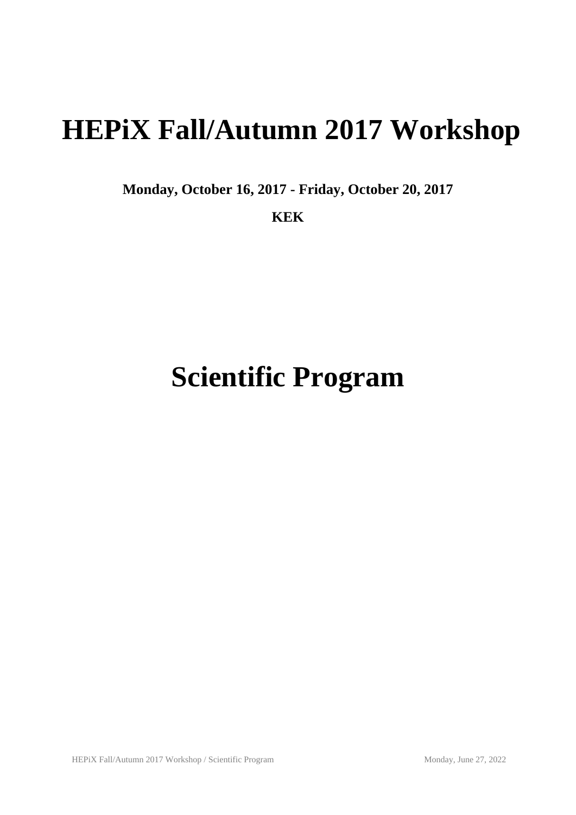# **HEPiX Fall/Autumn 2017 Workshop**

**Monday, October 16, 2017 - Friday, October 20, 2017**

**KEK**

# **Scientific Program**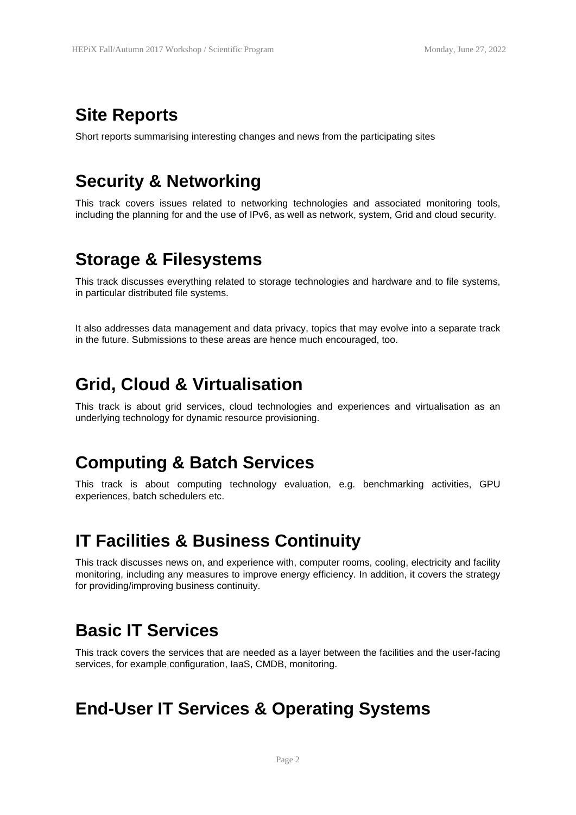## **Site Reports**

Short reports summarising interesting changes and news from the participating sites

# **Security & Networking**

This track covers issues related to networking technologies and associated monitoring tools, including the planning for and the use of IPv6, as well as network, system, Grid and cloud security.

## **Storage & Filesystems**

This track discusses everything related to storage technologies and hardware and to file systems, in particular distributed file systems.

It also addresses data management and data privacy, topics that may evolve into a separate track in the future. Submissions to these areas are hence much encouraged, too.

## **Grid, Cloud & Virtualisation**

This track is about grid services, cloud technologies and experiences and virtualisation as an underlying technology for dynamic resource provisioning.

#### **Computing & Batch Services**

This track is about computing technology evaluation, e.g. benchmarking activities, GPU experiences, batch schedulers etc.

# **IT Facilities & Business Continuity**

This track discusses news on, and experience with, computer rooms, cooling, electricity and facility monitoring, including any measures to improve energy efficiency. In addition, it covers the strategy for providing/improving business continuity.

# **Basic IT Services**

This track covers the services that are needed as a layer between the facilities and the user-facing services, for example configuration, IaaS, CMDB, monitoring.

# **End-User IT Services & Operating Systems**